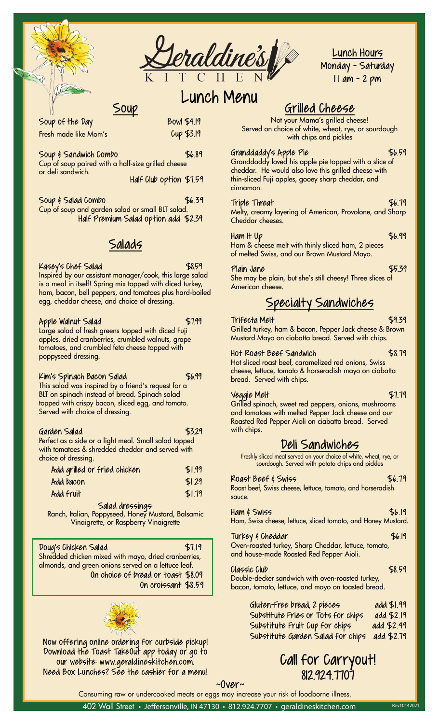

### Lunch Hours  $M$ onday -  $S$ aturday  $\frac{1}{2}$   $\frac{1}{2}$  and  $\frac{1}{2}$ <u>Lunch Hours</u> <u>Lunch Hours</u><br>Monday - Saturday 1 I am - 2 pm

8 am - 1 pm<br>1 pm - 1 pm - 1 pm

### Lunch Menu Lunch Menu<br>Exilled Cheece

 $\epsilon$ Soup

 $\frac{1}{2}$  pieces of buttered to buttered to buttered to  $\frac{1}{2}$  $\frac{1}{2}$  Big Daddy  $\frac{1}{2}$  Big Daddy  $\frac{1}{2}$  Big Daddy  $\frac{1}{2}$  Big Daddy  $\frac{1}{2}$  Big Daddy  $\frac{1}{2}$  Big Daddy  $\frac{1}{2}$  Big Daddy  $\frac{1}{2}$  Big Daddy  $\frac{1}{2}$  Big Daddy  $\frac{1}{2}$  Big Daddy  $\frac{1}{2}$  Big Daddy Fresh made like Mom's Cup \$3.19 Soup & Sandwich Combo<br>Served with brown sugar, 2 pieces of fried sugar, 2 pieces of fried sugar, and the fried sugar, and the fried bologna, 2 pieces of ham, or 2 pieces of smoked sausage; dried cranberries or scoop of fruit. Served with fries or tots. *Made to order: give at least*  and country-style hash browns (cooked with onions) or tots. Add \$0.39 for each additional option. or deli sandwich.  $T_{\text{max}}$   $T_{\text{max}}$   $T_{\text{max}}$   $T_{\text{max}}$   $T_{\text{max}}$   $T_{\text{max}}$   $T_{\text{max}}$ A filling breakfast featuring 2 eggs cooked your way Soup & Salad Combo \$6.39 Fresh made like Mom's Gup \$3.19 choice of one: granola, crumbled walnuts, raisins, dressed with lettuce, onion, tomato, and dill pickle slices. Soup & Sandwich Combo \$6.89  $\frac{304\mu}{\pi}$  Be 1/3 pound ground beef patty lightly seasoned, Cup of soup paired with a half-size grilled cheese<br>or deli sandwich add cand them the Half Club option \$7.59 (American, Swiss, Cheddar, Pepper Jack or Provolone) Soup of the Day Bowl \$4.19

Soup & Suida borned<br>Cup of soup and garden salad or small BLT salad. Country Ham & Eggs \$10.499 (2004). The Eggs \$10.499 (2004). The Eggs \$10.499 (2004). Soup & Salad Combo<br>Cup of soup and garden salad or small BLT salad.<br>Cup of soup and garden salad or small BLT salad. scoop of fruit. Add \$0.39 for each additional option. Patty Melt \$8.99 Half Premium Salad option add \$2.39

### Eggs Your Way \$4.09 Fruit Cup \$2.99 onions and Swiss cheese on grilled rye bread. Served with Salads fries or tots. *Made to order: give at least 10 minutes.*

Kasey's Chef Salad \$8.59

E45by 5 und the Salaa<br>Thispired by our assistant manager/cook, this large salad Is a meal in itself! Spring mix topped with alced turkey,<br>ham bacon bell penners, and tomatoes plus bard-boiled ham, bacon, bell peppers, and tomatoes plus hard-boiled is a meal in itself! Spring mix topped with diced turkey,<br>' egg, cheddar cheese, and choice of dressing.<br>.

### Loaded Hash Browns \$8.99 2 eggs on top hash browns (cooked with onions), bacon, Served with fries or tots and choice of BBQ, Ranch, or Apple Walnut Salad \$7.99

1 Figure Mustard Salad.<br>Large salad of fresh greens topped with diced Fuji apples, dried cranberries, crumbled walnuts, grape<br>tops for and crumbled for choose topped with tomatoes, and crumbled teta cheese topped with<br>nonpyseed dressing poppyseed dressing. The Day of the Day of the Day of the Day of the Day of the Day of the Day of the Day of the appies, and cranibernes, crombidd walners, grape<br>tomatoes, and crumbled feta cheese topped with

### Bread options: White, Wheat, Rye, or Sourdough English Muffin add \$0.39 Substitute sausage for bacon \$1.29 Quesadilla \$6.99 Kim's Spinach Bacon Salad \$6.99

This salad was inspired by a friend's request for a BLT on spinach instead of bread. Spinach salad topped with crispy bacon, sliced egg, and tomato.<br>Served with choice of dressing Freed with Choice of dressing.<br>Served with choice of dressing.  $2$  strips of  $\mathcal{L}$  strips of  $\mathcal{L}$ Not a sandwich, but a meal in itself. A bed of crispy tots

## $\zeta$  where  $\zeta$  is the movement of mozzarella, drizzled with our drizzled with our drizzled with our drizzled with our drizzled with our drizzled with our drizzled with our drizzled with  $\zeta$

pp.<br>Partect as a side or a light moal, Small salad topped reflect as a side or a light meal. Small saida topped<br>with tomatoes & shredded cheddar and served with will longbes a silied ded cried data and served will all choice of dressing Smoked Sausage \$2.39 Garden Salad \$3.29 Ferred as a side or a light meal. Small salad lopped<br>Biscuit to matoos & shrodded chadder and sorred with choice of dressing.<br>
expansion of the chips is the chips state of the chips and the chips of the chips of the chips of the chips o Perfect as a side or a light meal. Small salad topped<br>... with tomatoes & shredded cheddar and served with<br>choice of dressing

| CHOICE OF GROUNDY.           |        |                            |
|------------------------------|--------|----------------------------|
| Add grilled or fried chicken | \$1.99 | sourdou                    |
| Add bacon                    | \$1.29 | Roast Beef &               |
| Add fruit                    | \$1.79 | Roast beef, Swis<br>sauce. |

## 3 eggs and the served with chinese served with chipses of the served with chipses  $\sim$

, Poppyseed, Honey Mus<br>arette, er Perpherry Ving Biscuits & Gravy<br>Biscuits & Gravy<br>Strain & Gravy Halian Bonnysoed Honov Muu 1 egg word way the Vinaigrette, or Raspberry Vinc Salad dressings:<br>Ranch, Italian, Poppyseed, Honey Mustard, Balsamic Ham & Swiss cho Vinaigrette, or Raspberry Vinaigrette

 $\mathbf{B}(\mathbf{S}) = \mathbf{B}(\mathbf{S})$  . The system is the set of  $\mathbf{S}(\mathbf{S})$ 

 $$7.19$  $\begin{bmatrix} 2.64 & 0.69 \\ -0.69 & 0.69 \\ -0.69 & 0.69 \end{bmatrix}$ , served with mayo, dried cranberries, almonds, and green onions served on a lettuce leaf. almonds, and green onions served on a lenoce lear.<br>On choice of bread or toast \$8.09 Double-decker son sprinkling of powdered sugar and cinnamon.  $\frac{46.7}{4}$ delicious. It may take a little time, but it would be a little time, but it is word of the state of the state o<br>Bologna bacon, tomato, let  $\overline{\phantom{a}}$ Doug's Chicken Salad \$7.19 | . Small sandwich with fried bologna and tomato slice on



Now offering online ordering for curbside pickupl Download the Toast TakeOut app today or go to to the Call For our website: www.geraldineskitchen.com. COL Need Box Lunches? See the cashier for a menu! was an excellent cook and a terrific hostess and was always looking for Now offering online ordering for curbside pickup!

### Omelets <u>Grilled Cheese</u>

<u>GN IIIVA UNVYSV (IN IIIVA UNVYSV</u><br>Not your Mama's grilled cheese! Limit of your manners grined cheese. Served on choice of white wheat energy.<br>Served on choice of white, wheat, rye, or sourdough with chips and pickles  $\sim$  1.999 with chips and pickles  $\sim$ 

Granddaddy's Apple Pie \$6.59 Granddaddy loved his apple pie topped with a slice of  $\overline{\phantom{a}}$ cheddar. He would also love this grilled cheese with<br>thin clicod Euij apples, accey sharp cheddar, and thin-sliced Fuji apples, gooey sharp cheddar, and nddaddys Rpple Yle<br>Hot tea yn y 1990 yn 1991 black and the plant options and here in the international options are in the international options are in the<br>Inductions about the international options and the international options will Granddaddy loved his apple pie topped with a slice of

Rosie's Choice \$6.79 Triple Threat \$6.79 کلا<br>Melty, creamy layering of American, Provolone, and Sh which cheeses. Half-size of the size of the size of the size of the size of the size of the size of the size of the size of the size of the size of the size of the size of the size of the size of the size of the size of th ty, creamy layering ot American, Provolone, and Sno<br>Iddar chooses Large (16 oz.) \$2.699 oz.) \$2.699 oz.<br>Szeptember (16 oz.) \$2.699 oz.) \$2.699 oz. riple Threat **\$6.79** Melty, creamy layering of American, Provolone, and Sharp<br>Cl

Half-size omelet \$4.49 Coffee - Medium Roast or Decaf \$1.99 cinnamon.

 $\alpha$  add  $\beta$ .399  $\alpha$ .399  $\alpha$ .399  $\alpha$ .399  $\alpha$ .399  $\alpha$ 

 $Ham$  It Up  $$6.99$ nam ii up<br>Ham & cheese melt with thinly sliced ham, 2 pieces Fram & cheese ment whit minty sited fram, 2 pieces<br>of melted Swiss, and our Brown Mustard Mayo.  $\mathbf{H}$  and  $\mathbf{H}$  and  $\mathbf{H}$  and  $\mathbf{H}$  and  $\mathbf{H}$  and  $\mathbf{H}$  and  $\mathbf{H}$  and  $\mathbf{H}$  and  $\mathbf{H}$  and  $\mathbf{H}$  and  $\mathbf{H}$  and  $\mathbf{H}$  and  $\mathbf{H}$  and  $\mathbf{H}$  and  $\mathbf{H}$  and  $\mathbf{H}$  and  $\mathbf{H}$  and

Plain Jane She may be plain, but she's still cheesy! Three slices of tomatoes, olives and jalanse and jalanse and jalanse of 1 cheese. The 1 cheese of 1 cheese. The 1 cheese of 1 cheese  $\frac{1}{\sqrt{2}}$  or  $\frac{1}{\sqrt{2}}$ . Kids small single server (8 oz.)  $\frac{1}{55}$ **Executive Cheese.**<br>In the state of the state of the state of the state of the state of the state of the state of the state of the **F5.39**  $M$   $\sim$   $2.19$  or  $\sim$   $2.19$  or  $\sim$   $2.19$  or  $\sim$   $2.19$  or  $\sim$   $2.19$  or  $\sim$ Plain Jane \$5.39 She may be plain, but she's still cheesy! Three slices of

### $\frac{2\gamma v \cup \log \gamma}{\gamma}$ Specialty Sandwiches

Double order of 1 meat and 1 cheese. See options below. Coke Products \$1.99 Kids small single serve (8 oz.) \$1.00 Trifecta Melt \$9.39 Half-size omelet \$5.59 Coke, Diet, Sprite, Mr. Pibb, Mellow Yellow, Lemonade Soft drink, juice, iced tea or milk Grilled turkey, ham & bacon, Pepper Jack cheese & Brown Mustard Mayo on ciabatta bread. Served with chips.

 half omelet, add \$0.79 Ala Carte Hot Roast Beef Sandwich \$8.79 Hot sliced roast beef, caramelized red onions, Swiss cheese, lettuce, tomato & horseradish mayo on ciabatta<br>broad Sonrad with china **Includes choice of one choice of meat and choice of meat and choice of meat and choice of meat and choice of m**  $\mathcal{S}$  small total total total total total total total total total total total total total total total total total total total total total total total total total total total total total total total total total total to

# ala Carte<br>Ala Carte de Vea<br>Carte de Vea

vegetables at prices indicated below. Veggie Melt \$7.79 omato. Crilled spinach, sweet red peppers, onions, mushrooms<br>2 Meaths and teaming with a slice Bearing last choose and surand tomatoes with melted Pepper Jack cheese and our Turkey Bacon (+ .20¢) Country Ham (+ .20¢) Country Ham (+ .20¢) Country Ham (+ .39) Country Ham (+ .39) Country H  $$3.29$  with chips. Fruit cup \$2.99 Grilled spinach, sweet red peppers, onions, mushrooms Roasted Red Pepper Aioli on ciabatta bread. Served<br>with chips

## Sharp cheddar <mark>Deli Sandwiches</mark> Mozzarella Butter Butter Butter Butter Butter Butter Butter Butter Butter Butter Butter Butter Butter Butter Butter Butter Butter Butter Butter Butter Butter Butter Butt

Freshly sliced meat served on your choice of white, wheat, ed with<br>Freshly sliced meat served on your choice of white, wheat, rye, or<br>A i equal to any sourdough. Served with potato chips and pickles . Served with potato chips and Freshly sliced meat served on your choice of white, wheat, rye, or sourdough. Served with potato chips and pickles

#### Vegetables ages 12 and under with adult purchase. Roast Beef & Swiss \$6.79 Poort boot Cuise choose Jottuce tomate and herser Rousi Deel, Owlss Crieese, Ienoce, Iomaio, and Horserdalsh Special Jellies & Syrups:  $\frac{p}{q}$ **EDRY DOOT**<br>Roast beef, Swiss cheese, lettuce, tomato, and horseradish

 $S^2$  support  $S^2$  and  $S^2$  and  $S^2$  and  $S^2$  and  $S^2$  and  $S^2$  and  $S^2$  and  $S^2$  and  $S^2$  and  $S^2$  and  $S^2$  and  $S^2$  and  $S^2$  and  $S^2$  and  $S^2$  and  $S^2$  and  $S^2$  and  $S^2$  and  $S^2$  and  $S^2$  and  $S^2$  a  $\frac{1}{30}$  Sugar-Free Syrup  $\frac{1}{30}$  Sugar-Free Syrup  $\frac{1}{30}$  with honey and sprinkled Kid Grilled Cheese Ham or Turkey Sandwich

Add to any omelet or menu item for \$0.25 each Ham & Swiss \$6.19 Ham, Swiss cheese, lettuce, sliced tomato, and Honey Mustarc 1 E SWISS<br>Chicken Tender Tender Tender Ham, Swiss cheese, lettuce, sliced tomato, and Honey Mustard.

irkey, Sharp Cheddar, lettuce<br>e Roasted Red Penner Aioli Perfect for a light from the meal. Substitute Fruit Cup for bread option add \$2.09 Turkey & Cheddar \$6.19 Ge, sited formalo, and Honey Music<br>|-<br>|-<br>| indepthe order Aioli.<br>|-4.7707 Oven-roasted turkey, Sharp Cheddar, lettuce, tomato,  $\alpha$ de Roasted Red Penner Aioli and house-made Roasted Red Pepper Aioli.<br>.

Breakfast Burrito \$6.99 Classic Club \$8.59 Statilla stuffed with scrape for the stuffed with scrambled to the state.<br>Double-decker sandwich with oven-roasted turkey, bacon, tomato, lettuce, and mayo on toasted bread. Served with small mild salsa. Sour Cream add \$0.59 - Add American cheese to the sandwich \$0.79 - Double-decker sandwich with oven-roasted turkey,

|                                               | Gluten-Free bread, 2 pieces        | add \$1.99 |
|-----------------------------------------------|------------------------------------|------------|
|                                               | Substitute Fries or Tots for chips | add \$2.19 |
|                                               | Substitute Fruit Cup for chips     | add \$2.49 |
| offering online ordering for curbside pickup! | Substitute Garden Salad for chips  | add \$2.79 |
|                                               |                                    |            |

### Double Fried Egg Sandwich \$5.99 2 fried eggs, American cheese, 2 slices bacon, and tomato Call for Carryout!  $200^\circ$ Consuming raw or undercooked meats or eggs may increase your risk of foodborne illness. 812.924.7707

~Over~

Consuming raw or undercooked meats or eggs may increase your risk of foodborne illness.

402 Wall Street • Jeffersonville, IN 47130 • 812.924.7707 • geraldineskitchen.com Rev10142021